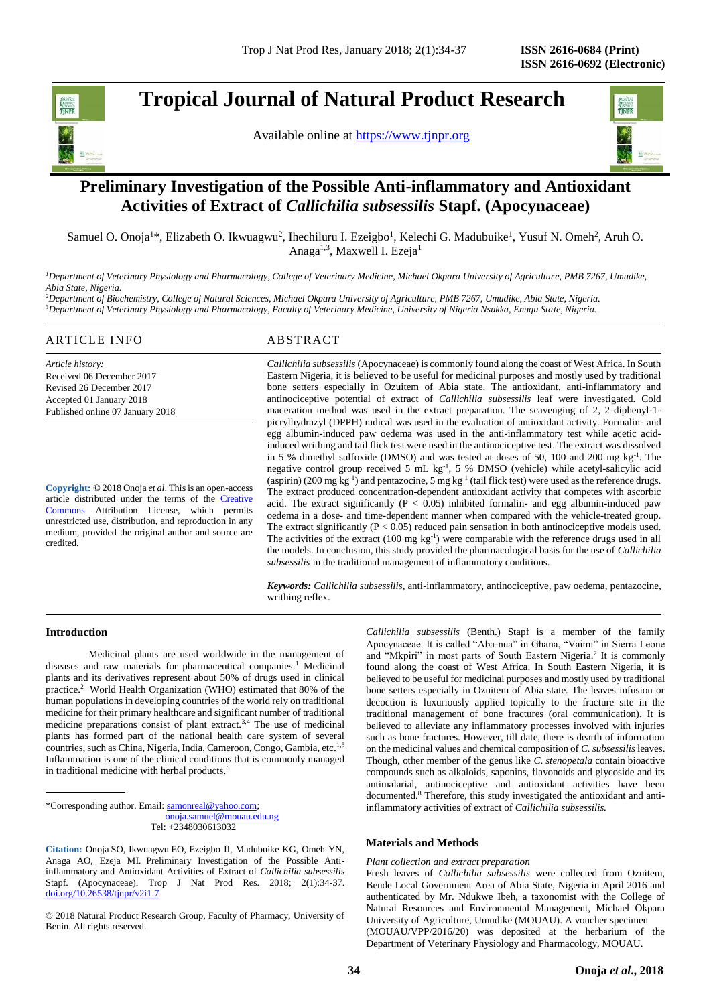# **Tropical Journal of Natural Product Research**

Available online at [https://www.tjnpr.org](https://www.tjnpr.org/)



## . **Preliminary Investigation of the Possible Anti-inflammatory and Antioxidant Activities of Extract of** *Callichilia subsessilis* **Stapf. (Apocynaceae)**

Samuel O. Onoja<sup>1\*</sup>, Elizabeth O. Ikwuagwu<sup>2</sup>, Ihechiluru I. Ezeigbo<sup>1</sup>, Kelechi G. Madubuike<sup>1</sup>, Yusuf N. Omeh<sup>2</sup>, Aruh O. Anaga<sup>1,3</sup>, Maxwell I. Ezeja<sup>1</sup>

<sup>1</sup>*Department of Veterinary Physiology and Pharmacology, College of Veterinary Medicine, Michael Okpara University of Agriculture, PMB 7267, Umudike, Abia State, Nigeria.*

*<sup>2</sup>Department of Biochemistry, College of Natural Sciences, Michael Okpara University of Agriculture, PMB 7267, Umudike, Abia State, Nigeria. <sup>3</sup>Department of Veterinary Physiology and Pharmacology, Faculty of Veterinary Medicine, University of Nigeria Nsukka, Enugu State, Nigeria.* 

#### ARTICLE INFO ABSTRACT

*Article history:* Received 06 December 2017 Revised 26 December 2017 Accepted 01 January 2018 Published online 07 January 2018

**Copyright:** © 2018 Onoja *et al*. This is an open-access article distributed under the terms of the [Creative](https://creativecommons.org/licenses/by/4.0/)  [Commons](https://creativecommons.org/licenses/by/4.0/) Attribution License, which permits unrestricted use, distribution, and reproduction in any medium, provided the original author and source are credited.

*Callichilia subsessilis* (Apocynaceae) is commonly found along the coast of West Africa. In South Eastern Nigeria, it is believed to be useful for medicinal purposes and mostly used by traditional bone setters especially in Ozuitem of Abia state. The antioxidant, anti-inflammatory and antinociceptive potential of extract of *Callichilia subsessilis* leaf were investigated. Cold maceration method was used in the extract preparation. The scavenging of 2, 2-diphenyl-1 picrylhydrazyl (DPPH) radical was used in the evaluation of antioxidant activity. Formalin- and egg albumin-induced paw oedema was used in the anti-inflammatory test while acetic acidinduced writhing and tail flick test were used in the antinociceptive test. The extract was dissolved in 5 % dimethyl sulfoxide (DMSO) and was tested at doses of 50, 100 and 200 mg  $kg^{-1}$ . The negative control group received 5 mL  $kg<sup>-1</sup>$ , 5 % DMSO (vehicle) while acetyl-salicylic acid (aspirin) (200 mg  $kg^{-1}$ ) and pentazocine, 5 mg  $kg^{-1}$  (tail flick test) were used as the reference drugs. The extract produced concentration-dependent antioxidant activity that competes with ascorbic acid. The extract significantly ( $P < 0.05$ ) inhibited formalin- and egg albumin-induced paw oedema in a dose- and time-dependent manner when compared with the vehicle-treated group. The extract significantly  $(P < 0.05)$  reduced pain sensation in both antinociceptive models used. The activities of the extract  $(100 \text{ mg kg}^{-1})$  were comparable with the reference drugs used in all the models. In conclusion, this study provided the pharmacological basis for the use of *Callichilia subsessilis* in the traditional management of inflammatory conditions.

*Keywords: Callichilia subsessilis*, anti-inflammatory, antinociceptive, paw oedema, pentazocine, writhing reflex.

#### **Introduction**

Medicinal plants are used worldwide in the management of diseases and raw materials for pharmaceutical companies.<sup>1</sup> Medicinal plants and its derivatives represent about 50% of drugs used in clinical practice.<sup>2</sup> World Health Organization (WHO) estimated that 80% of the human populations in developing countries of the world rely on traditional medicine for their primary healthcare and significant number of traditional medicine preparations consist of plant extract.3,4 The use of medicinal plants has formed part of the national health care system of several countries, such as China, Nigeria, India, Cameroon, Congo, Gambia, etc.<sup>1,5</sup> Inflammation is one of the clinical conditions that is commonly managed in traditional medicine with herbal products.<sup>6</sup>

\*Corresponding author. Email[: samonreal@yahoo.com;](mailto:samonreal@yahoo.com) [onoja.samuel@mouau.edu.ng](mailto:onoja.samuel@mouau.edu.ng) Tel: +2348030613032

**Citation:** Onoja SO, Ikwuagwu EO, Ezeigbo II, Madubuike KG, Omeh YN, Anaga AO, Ezeja MI. Preliminary Investigation of the Possible Antiinflammatory and Antioxidant Activities of Extract of *Callichilia subsessilis*  Stapf. (Apocynaceae). Trop J Nat Prod Res. 2018; 2(1):34-37. [doi.org/10.26538/tjnpr/v2i1.7](http://www.doi.org/10.26538/tjnpr/v1i4.5)

© 2018 Natural Product Research Group, Faculty of Pharmacy, University of Benin. All rights reserved.

*Callichilia subsessilis* (Benth.) Stapf is a member of the family Apocynaceae. It is called "Aba-nua" in Ghana, "Vaimi" in Sierra Leone and "Mkpiri" in most parts of South Eastern Nigeria.<sup>7</sup> It is commonly found along the coast of West Africa. In South Eastern Nigeria, it is believed to be useful for medicinal purposes and mostly used by traditional bone setters especially in Ozuitem of Abia state. The leaves infusion or decoction is luxuriously applied topically to the fracture site in the traditional management of bone fractures (oral communication). It is believed to alleviate any inflammatory processes involved with injuries such as bone fractures. However, till date, there is dearth of information on the medicinal values and chemical composition of *C. subsessilis* leaves. Though, other member of the genus like *C*. *stenopetala* contain bioactive compounds such as alkaloids, saponins, flavonoids and glycoside and its antimalarial, antinociceptive and antioxidant activities have been documented.<sup>8</sup> Therefore, this study investigated the antioxidant and antiinflammatory activities of extract of *Callichilia subsessilis.*

#### **Materials and Methods**

#### *Plant collection and extract preparation*

Fresh leaves of *Callichilia subsessilis* were collected from Ozuitem, Bende Local Government Area of Abia State, Nigeria in April 2016 and authenticated by Mr. Ndukwe Ibeh, a taxonomist with the College of Natural Resources and Environmental Management, Michael Okpara University of Agriculture, Umudike (MOUAU). A voucher specimen (MOUAU/VPP/2016/20) was deposited at the herbarium of the Department of Veterinary Physiology and Pharmacology, MOUAU.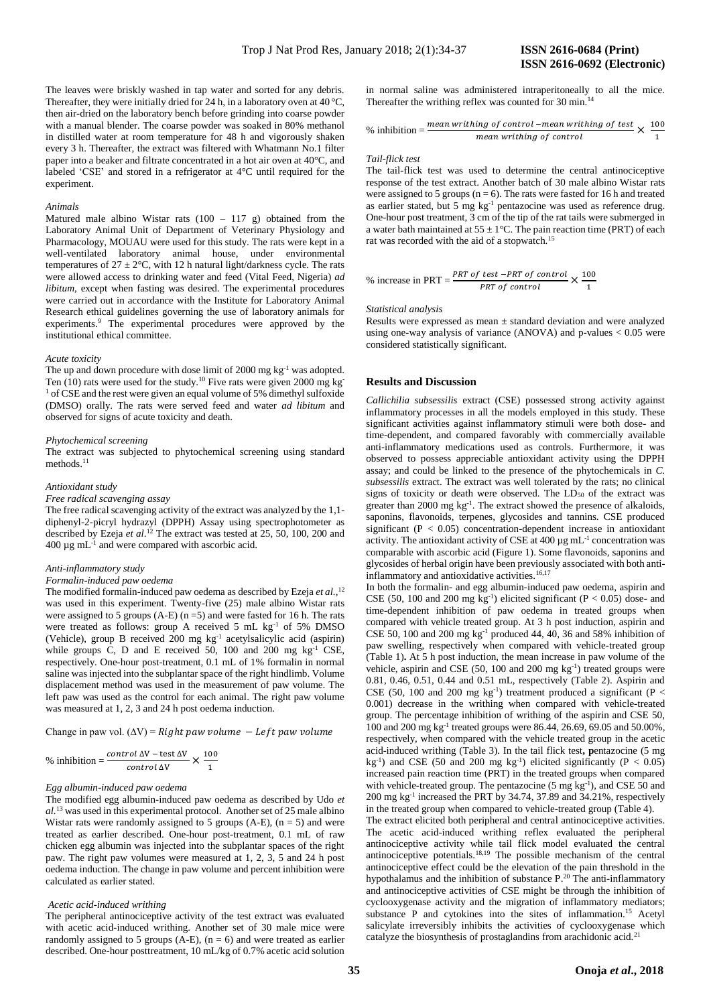The leaves were briskly washed in tap water and sorted for any debris. Thereafter, they were initially dried for 24 h, in a laboratory oven at 40 °C, then air-dried on the laboratory bench before grinding into coarse powder with a manual blender. The coarse powder was soaked in 80% methanol in distilled water at room temperature for 48 h and vigorously shaken every 3 h. Thereafter, the extract was filtered with Whatmann No.1 filter paper into a beaker and filtrate concentrated in a hot air oven at 40°C, and labeled 'CSE' and stored in a refrigerator at 4°C until required for the experiment.

#### *Animals*

Matured male albino Wistar rats  $(100 - 117)$  g) obtained from the Laboratory Animal Unit of Department of Veterinary Physiology and Pharmacology, MOUAU were used for this study. The rats were kept in a well-ventilated laboratory animal house, under environmental temperatures of  $27 \pm 2$ °C, with 12 h natural light/darkness cycle. The rats were allowed access to drinking water and feed (Vital Feed, Nigeria) *ad libitum*, except when fasting was desired. The experimental procedures were carried out in accordance with the Institute for Laboratory Animal Research ethical guidelines governing the use of laboratory animals for experiments.<sup>9</sup> The experimental procedures were approved by the institutional ethical committee.

#### *Acute toxicity*

The up and down procedure with dose limit of 2000 mg kg<sup>-1</sup> was adopted. Ten  $(10)$  rats were used for the study.<sup>10</sup> Five rats were given 2000 mg kg<sup>-</sup>  $1$  of CSE and the rest were given an equal volume of 5% dimethyl sulfoxide (DMSO) orally. The rats were served feed and water *ad libitum* and observed for signs of acute toxicity and death.

#### *Phytochemical screening*

The extract was subjected to phytochemical screening using standard methods.<sup>11</sup>

#### *Antioxidant study*

#### *Free radical scavenging assay*

The free radical scavenging activity of the extract was analyzed by the 1,1 diphenyl-2-picryl hydrazyl (DPPH) Assay using spectrophotometer as described by Ezeja *et al*. <sup>12</sup> The extract was tested at 25, 50, 100, 200 and  $400 \mu g$  mL<sup>-1</sup> and were compared with ascorbic acid.

#### *Anti-inflammatory study*

#### *Formalin-induced paw oedema*

The modified formalin-induced paw oedema as described by Ezeja *et al.,*<sup>12</sup> was used in this experiment. Twenty-five (25) male albino Wistar rats were assigned to 5 groups (A-E) ( $n = 5$ ) and were fasted for 16 h. The rats were treated as follows: group A received 5 mL kg<sup>-1</sup> of 5% DMSO (Vehicle), group B received 200 mg kg-1 acetylsalicylic acid (aspirin) while groups  $\dot{C}$ , D and E received 50, 100 and 200 mg kg<sup>-1</sup> CSE, respectively. One-hour post-treatment, 0.1 mL of 1% formalin in normal saline was injected into the subplantar space of the right hindlimb. Volume displacement method was used in the measurement of paw volume. The left paw was used as the control for each animal. The right paw volume was measured at 1, 2, 3 and 24 h post oedema induction.

Change in paw vol.  $(\Delta V)$  = Right paw volume – Left paw volume

% inhibition = 
$$
\frac{control \Delta V - \text{test} \Delta V}{control \Delta V} \times \frac{100}{1}
$$

#### *Egg albumin-induced paw oedema*

The modified egg albumin-induced paw oedema as described by Udo *et al.*<sup>13</sup> was used in this experimental protocol. Another set of 25 male albino Wistar rats were randomly assigned to 5 groups (A-E),  $(n = 5)$  and were treated as earlier described. One-hour post-treatment, 0.1 mL of raw chicken egg albumin was injected into the subplantar spaces of the right paw. The right paw volumes were measured at 1, 2, 3, 5 and 24 h post oedema induction. The change in paw volume and percent inhibition were calculated as earlier stated.

#### *Acetic acid-induced writhing*

The peripheral antinociceptive activity of the test extract was evaluated with acetic acid-induced writhing. Another set of 30 male mice were randomly assigned to 5 groups (A-E),  $(n = 6)$  and were treated as earlier described. One-hour posttreatment, 10 mL/kg of 0.7% acetic acid solution

in normal saline was administered intraperitoneally to all the mice. Thereafter the writhing reflex was counted for 30 min.<sup>14</sup>

% inhibition = 
$$
\frac{mean \text{ writing of control} - mean \text{ writing of test}}{mean \text{ writing of control}} \times \frac{100}{1}
$$

#### *Tail-flick test*

The tail-flick test was used to determine the central antinociceptive response of the test extract. Another batch of 30 male albino Wistar rats were assigned to 5 groups ( $n = 6$ ). The rats were fasted for 16 h and treated as earlier stated, but 5 mg kg<sup>-1</sup> pentazocine was used as reference drug. One-hour post treatment, 3 cm of the tip of the rat tails were submerged in a water bath maintained at  $55 \pm 1$ °C. The pain reaction time (PRT) of each rat was recorded with the aid of a stopwatch.<sup>15</sup>

% increase in PRT = 
$$
\frac{PRT \text{ of test } - PRT \text{ of control}}{PRT \text{ of control}} \times \frac{100}{1}
$$

#### *Statistical analysis*

Results were expressed as mean  $\pm$  standard deviation and were analyzed using one-way analysis of variance (ANOVA) and p-values < 0.05 were considered statistically significant.

#### **Results and Discussion**

*Callichilia subsessilis* extract (CSE) possessed strong activity against inflammatory processes in all the models employed in this study. These significant activities against inflammatory stimuli were both dose- and time-dependent, and compared favorably with commercially available anti-inflammatory medications used as controls. Furthermore, it was observed to possess appreciable antioxidant activity using the DPPH assay; and could be linked to the presence of the phytochemicals in *C. subsessilis* extract. The extract was well tolerated by the rats; no clinical signs of toxicity or death were observed. The LD<sub>50</sub> of the extract was greater than  $2000 \text{ mg} \text{ kg}^{-1}$ . The extract showed the presence of alkaloids, saponins, flavonoids, terpenes, glycosides and tannins. CSE produced significant (P < 0.05) concentration-dependent increase in antioxidant activity. The antioxidant activity of CSE at  $400 \mu g$  mL<sup>-1</sup> concentration was comparable with ascorbic acid (Figure 1). Some flavonoids, saponins and glycosides of herbal origin have been previously associated with both antiinflammatory and antioxidative activities.<sup>16,17</sup>

In both the formalin- and egg albumin-induced paw oedema, aspirin and CSE (50, 100 and 200 mg  $kg^{-1}$ ) elicited significant (P < 0.05) dose- and time-dependent inhibition of paw oedema in treated groups when compared with vehicle treated group. At 3 h post induction, aspirin and CSE 50, 100 and 200 mg  $kg^{-1}$  produced 44, 40, 36 and 58% inhibition of paw swelling, respectively when compared with vehicle-treated group (Table 1)**.** At 5 h post induction, the mean increase in paw volume of the vehicle, aspirin and CSE  $(50, 100 \text{ and } 200 \text{ mg kg}^{-1})$  treated groups were 0.81, 0.46, 0.51, 0.44 and 0.51 mL, respectively (Table 2). Aspirin and CSE (50, 100 and 200 mg  $kg^{-1}$ ) treatment produced a significant (P < 0.001) decrease in the writhing when compared with vehicle-treated group. The percentage inhibition of writhing of the aspirin and CSE 50, 100 and 200 mg kg-1 treated groups were 86.44, 26.69, 69.05 and 50.00%, respectively, when compared with the vehicle treated group in the acetic acid-induced writhing (Table 3). In the tail flick test**, p**entazocine (5 mg kg<sup>-1</sup>) and CSE (50 and 200 mg kg<sup>-1</sup>) elicited significantly ( $P < 0.05$ ) increased pain reaction time (PRT) in the treated groups when compared with vehicle-treated group. The pentazocine  $(5 \text{ mg kg}^{-1})$ , and CSE 50 and 200 mg kg-1 increased the PRT by 34.74, 37.89 and 34.21%, respectively in the treated group when compared to vehicle-treated group (Table 4).

The extract elicited both peripheral and central antinociceptive activities. The acetic acid-induced writhing reflex evaluated the peripheral antinociceptive activity while tail flick model evaluated the central antinociceptive potentials.18,19 The possible mechanism of the central antinociceptive effect could be the elevation of the pain threshold in the hypothalamus and the inhibition of substance P.<sup>20</sup> The anti-inflammatory and antinociceptive activities of CSE might be through the inhibition of cyclooxygenase activity and the migration of inflammatory mediators; substance P and cytokines into the sites of inflammation.<sup>15</sup> Acetyl salicylate irreversibly inhibits the activities of cyclooxygenase which catalyze the biosynthesis of prostaglandins from arachidonic acid.<sup>21</sup>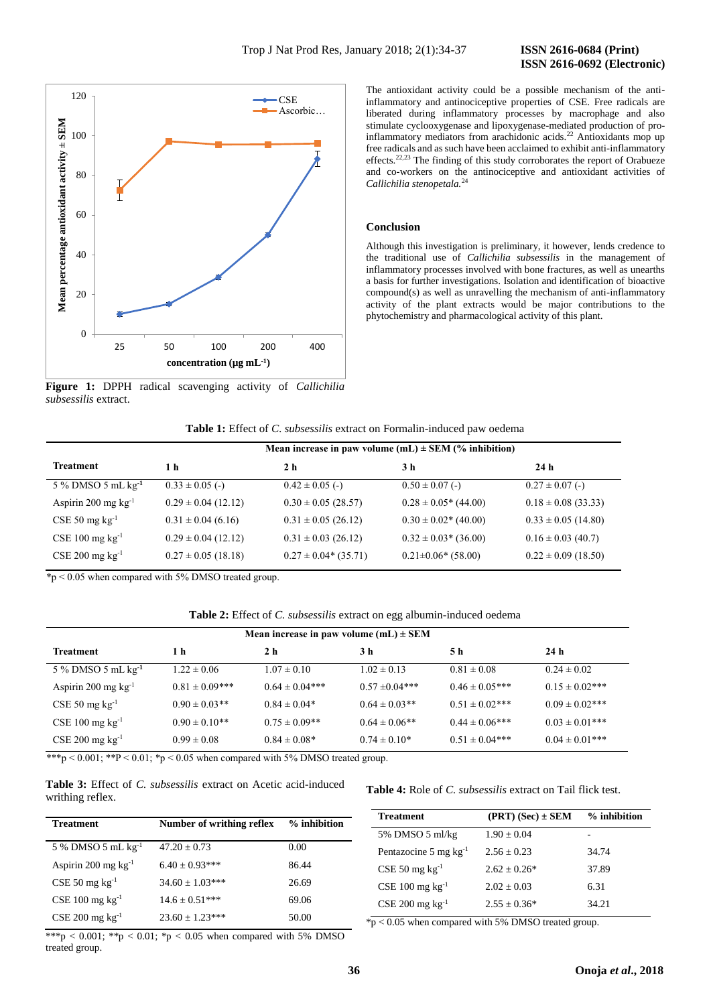

 **ISSN 2616-0692 (Electronic)** 

The antioxidant activity could be a possible mechanism of the antiinflammatory and antinociceptive properties of CSE. Free radicals are liberated during inflammatory processes by macrophage and also stimulate cyclooxygenase and lipoxygenase-mediated production of proinflammatory mediators from arachidonic acids.<sup>22</sup> Antioxidants mop up free radicals and as such have been acclaimed to exhibit anti-inflammatory effects.22,23 The finding of this study corroborates the report of Orabueze and co-workers on the antinociceptive and antioxidant activities of *Callichilia stenopetala.*<sup>24</sup>

### **Conclusion**

Although this investigation is preliminary, it however, lends credence to the traditional use of *Callichilia subsessilis* in the management of inflammatory processes involved with bone fractures, as well as unearths a basis for further investigations. Isolation and identification of bioactive compound(s) as well as unravelling the mechanism of anti-inflammatory activity of the plant extracts would be major contributions to the phytochemistry and pharmacological activity of this plant.

**Figure 1:** DPPH radical scavenging activity of *Callichilia subsessilis* extract.

| <b>Table 1:</b> Effect of C. <i>subsessilis</i> extract on Formalin-induced paw oedema |  |  |  |  |  |  |
|----------------------------------------------------------------------------------------|--|--|--|--|--|--|
|----------------------------------------------------------------------------------------|--|--|--|--|--|--|

|                               | Mean increase in paw volume $(mL) \pm SEM$ (% inhibition) |                         |                           |                         |
|-------------------------------|-----------------------------------------------------------|-------------------------|---------------------------|-------------------------|
| <b>Treatment</b>              | 1 h                                                       | 2 h                     | 3 h                       | 24h                     |
| 5 % DMSO 5 mL $kg^{-1}$       | $0.33 \pm 0.05$ (-)                                       | $0.42 \pm 0.05$ (-)     | $0.50 \pm 0.07$ (-)       | $0.27 \pm 0.07$ (-)     |
| Aspirin 200 mg $kg^{-1}$      | $0.29 \pm 0.04$ (12.12)                                   | $0.30 \pm 0.05$ (28.57) | $0.28 \pm 0.05$ * (44.00) | $0.18 \pm 0.08$ (33.33) |
| $CSE$ 50 mg kg <sup>-1</sup>  | $0.31 \pm 0.04$ (6.16)                                    | $0.31 \pm 0.05$ (26.12) | $0.30 \pm 0.02$ * (40.00) | $0.33 \pm 0.05$ (14.80) |
| $CSE$ 100 mg kg <sup>-1</sup> | $0.29 \pm 0.04$ (12.12)                                   | $0.31 \pm 0.03$ (26.12) | $0.32 \pm 0.03$ * (36.00) | $0.16 \pm 0.03$ (40.7)  |
| $CSE$ 200 mg $kg^{-1}$        | $0.27 \pm 0.05$ (18.18)                                   | $0.27 \pm 0.04*(35.71)$ | $0.21 \pm 0.06$ * (58.00) | $0.22 \pm 0.09$ (18.50) |

 $*p < 0.05$  when compared with 5% DMSO treated group.

#### **Table 2:** Effect of *C. subsessilis* extract on egg albumin-induced oedema

| Mean increase in paw volume (mL) $\pm$ SEM |                     |                     |                     |                     |                     |
|--------------------------------------------|---------------------|---------------------|---------------------|---------------------|---------------------|
| <b>Treatment</b>                           | 1 h                 | 2 <sub>h</sub>      | 3 h                 | 5 h                 | 24h                 |
| 5 % DMSO 5 mL $kg^{-1}$                    | $1.22 \pm 0.06$     | $1.07 \pm 0.10$     | $1.02 \pm 0.13$     | $0.81 \pm 0.08$     | $0.24 \pm 0.02$     |
| Aspirin 200 mg $kg^{-1}$                   | $0.81 \pm 0.09$ *** | $0.64 \pm 0.04$ *** | $0.57 \pm 0.04$ *** | $0.46 \pm 0.05$ *** | $0.15 \pm 0.02$ *** |
| $CSE$ 50 mg $kg^{-1}$                      | $0.90 \pm 0.03$ **  | $0.84 \pm 0.04*$    | $0.64 \pm 0.03**$   | $0.51 \pm 0.02$ *** | $0.09 \pm 0.02$ *** |
| $CSE$ 100 mg kg <sup>-1</sup>              | $0.90 \pm 0.10**$   | $0.75 \pm 0.09**$   | $0.64 \pm 0.06**$   | $0.44 \pm 0.06$ *** | $0.03 \pm 0.01$ *** |
| $CSE$ 200 mg kg <sup>-1</sup>              | $0.99 \pm 0.08$     | $0.84 \pm 0.08*$    | $0.74 \pm 0.10*$    | $0.51 \pm 0.04***$  | $0.04 \pm 0.01$ *** |

\*\*\*p < 0.001; \*\*P < 0.01; \*p < 0.05 when compared with 5% DMSO treated group.

**Table 3:** Effect of *C. subsessilis* extract on Acetic acid-induced writhing reflex.

| Treatment                      | Number of writhing reflex | % inhibition |
|--------------------------------|---------------------------|--------------|
| 5 % DMSO 5 mL kg <sup>-1</sup> | $47.20 + 0.73$            | 0.00         |
| Aspirin 200 mg $kg^{-1}$       | $6.40 \pm 0.93***$        | 86.44        |
| $CSE$ 50 mg $kg^{-1}$          | $34.60 + 1.03***$         | 26.69        |
| $CSE$ 100 mg $kg^{-1}$         | $14.6 + 0.51***$          | 69.06        |
| $CSE$ 200 mg $kg^{-1}$         | $23.60 + 1.23***$         | 50.00        |

\*\*\*p < 0.001; \*\*p < 0.01; \*p < 0.05 when compared with 5% DMSO treated group.

**Table 4:** Role of *C. subsessilis* extract on Tail flick test.

| $(PRT)$ (Sec) $\pm$ SEM | $%$ inhibition |
|-------------------------|----------------|
| $1.90 + 0.04$           |                |
| $2.56 + 0.23$           | 34.74          |
| $2.62 + 0.26*$          | 37.89          |
| $2.02 + 0.03$           | 6.31           |
| $2.55 + 0.36*$          | 34.21          |
|                         |                |

 $\sqrt[3]{p}$  < 0.05 when compared with 5% DMSO treated group.